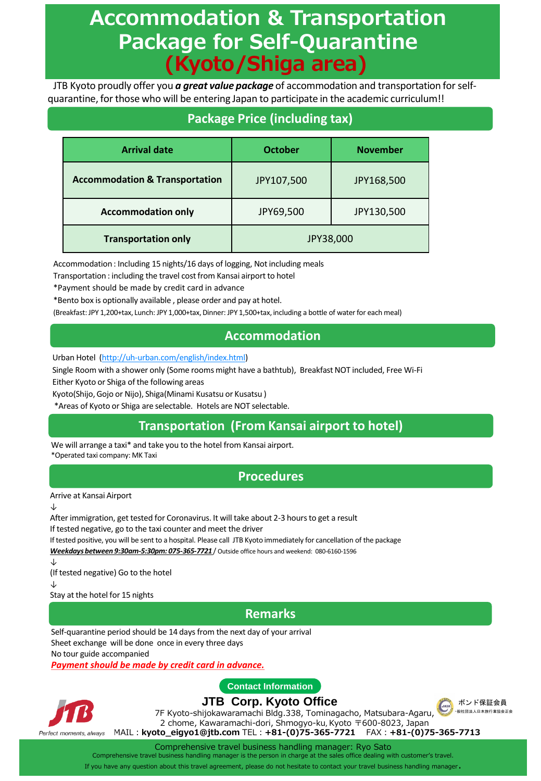## **Accommodation & Transportation Package for Self-Quarantine (Kyoto/Shiga area)**

JTB Kyoto proudly offer you *a great value package* of accommodation and transportation for selfquarantine, for those who will be entering Japan to participate in the academic curriculum!!

## **Package Price (including tax)**

| <b>Arrival date</b>                       | <b>October</b> | <b>November</b> |
|-------------------------------------------|----------------|-----------------|
| <b>Accommodation &amp; Transportation</b> | JPY107,500     | JPY168,500      |
| <b>Accommodation only</b>                 | JPY69,500      | JPY130,500      |
| <b>Transportation only</b>                | JPY38,000      |                 |

Accommodation : Including 15 nights/16 days of logging, Not including meals

Transportation : including the travel cost from Kansai airport to hotel

\*Payment should be made by credit card in advance

\*Bento box is optionally available , please order and pay at hotel.

(Breakfast: JPY 1,200+tax, Lunch: JPY 1,000+tax, Dinner: JPY 1,500+tax, including a bottle of water for each meal)

## **Accommodation**

Urban Hotel ([http://uh-urban.com/english/index.html\)](http://uh-urban.com/english/index.html)

Single Room with a shower only (Some rooms might have a bathtub), Breakfast NOT included, Free Wi-Fi

Either Kyoto or Shiga of the following areas

Kyoto(Shijo, Gojo or Nijo), Shiga(Minami Kusatsu or Kusatsu )

\*Areas of Kyoto or Shiga are selectable. Hotels are NOT selectable.

#### **Transportation (From Kansai airport to hotel)**

We will arrange a taxi\* and take you to the hotel from Kansai airport. \*Operated taxi company: MK Taxi

#### **Procedures**

Arrive at Kansai Airport

↓

After immigration, get tested for Coronavirus. It will take about 2-3 hours to get a result If tested negative, go to the taxi counter and meet the driver

If tested positive, you will be sent to a hospital. Please call JTB Kyoto immediately for cancellation of the package *Weekdays between 9:30am-5:30pm: 075-365-7721*/ Outside office hours and weekend: 080-6160-1596

↓

(If tested negative) Go to the hotel

↓

Stay at the hotel for 15 nights

**Remarks**

Self-quarantine period should be 14 days from the next day of your arrival Sheet exchange will be done once in every three days No tour guide accompanied

*Payment should be made by credit card in advance.*





**JTB Corp. Kyoto Office** 7F Kyoto-shijokawaramachi Bldg.338, Tominagacho, Matsubara-Agaru, 2 chome, Kawaramachi-dori, Shmogyo-ku, Kyoto 〒600-8023, Japan EMAIL:**kyoto\_eigyo1@jtb.com** TEL:**+81-(0)75-365-7721** FAX:**+81-(0)75-365-7713**

ボンド保証会員 一般社団法人日本旅行業協会正会

Comprehensive travel business handling manager: Ryo Sato

Comprehensive travel business handling manager is the person in charge at the sales office dealing with customer's travel. If you have any question about this travel agreement, please do not hesitate to contact your travel business handling manager.